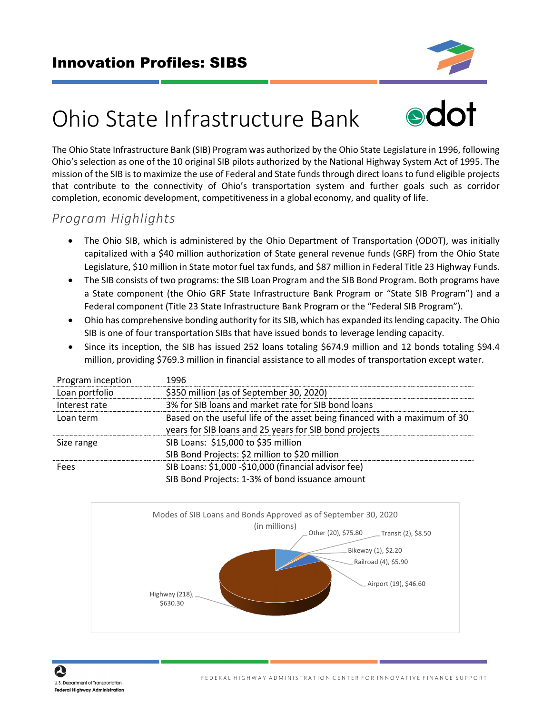

# Ohio State Infrastructure Bank



The Ohio State Infrastructure Bank (SIB) Program was authorized by the Ohio State Legislature in 1996, following Ohio's selection as one of the 10 original SIB pilots authorized by the National Highway System Act of 1995. The mission of the SIB is to maximize the use of Federal and State funds through direct loans to fund eligible projects that contribute to the connectivity of Ohio's transportation system and further goals such as corridor completion, economic development, competitiveness in a global economy, and quality of life.

### *Program Highlights*

- The Ohio SIB, which is administered by the Ohio Department of Transportation (ODOT), was initially capitalized with a \$40 million authorization of State general revenue funds (GRF) from the Ohio State Legislature, \$10 million in State motor fuel tax funds, and \$87 million in Federal Title 23 Highway Funds.
- The SIB consists of two programs: the SIB Loan Program and the SIB Bond Program. Both programs have a State component (the Ohio GRF State Infrastructure Bank Program or "State SIB Program") and a Federal component (Title 23 State Infrastructure Bank Program or the "Federal SIB Program").
- Ohio has comprehensive bonding authority for its SIB, which has expanded its lending capacity. The Ohio SIB is one of four transportation SIBs that have issued bonds to leverage lending capacity.
- Since its inception, the SIB has issued 252 loans totaling \$674.9 million and 12 bonds totaling \$94.4 million, providing \$769.3 million in financial assistance to all modes of transportation except water.

| Program inception | 1996                                                                      |
|-------------------|---------------------------------------------------------------------------|
| Loan portfolio    | \$350 million (as of September 30, 2020)                                  |
| Interest rate     | 3% for SIB loans and market rate for SIB bond loans                       |
| Loan term         | Based on the useful life of the asset being financed with a maximum of 30 |
|                   | years for SIB loans and 25 years for SIB bond projects                    |
| Size range        | SIB Loans: \$15,000 to \$35 million                                       |
|                   | SIB Bond Projects: \$2 million to \$20 million                            |
| Fees              | SIB Loans: \$1,000 -\$10,000 (financial advisor fee)                      |
|                   | SIB Bond Projects: 1-3% of bond issuance amount                           |